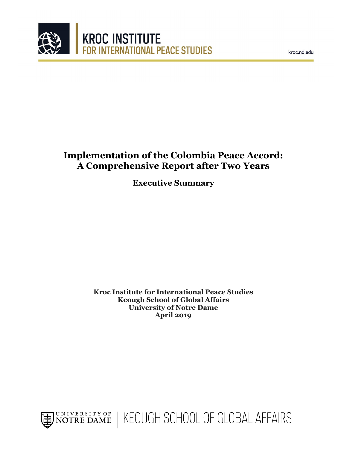



# **Implementation of the Colombia Peace Accord: A Comprehensive Report after Two Years**

**Executive Summary**

**Kroc Institute for International Peace Studies Keough School of Global Affairs University of Notre Dame April 2019**

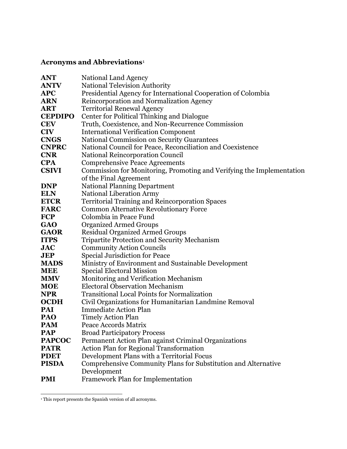## **Acronyms and Abbreviations**[1](#page-1-0)

| ANT            | National Land Agency                                                  |
|----------------|-----------------------------------------------------------------------|
| <b>ANTV</b>    | <b>National Television Authority</b>                                  |
| <b>APC</b>     | Presidential Agency for International Cooperation of Colombia         |
| <b>ARN</b>     | Reincorporation and Normalization Agency                              |
| ART            | <b>Territorial Renewal Agency</b>                                     |
| <b>CEPDIPO</b> | Center for Political Thinking and Dialogue                            |
| <b>CEV</b>     | Truth, Coexistence, and Non-Recurrence Commission                     |
| <b>CIV</b>     | <b>International Verification Component</b>                           |
| <b>CNGS</b>    | <b>National Commission on Security Guarantees</b>                     |
| <b>CNPRC</b>   | National Council for Peace, Reconciliation and Coexistence            |
| <b>CNR</b>     | <b>National Reincorporation Council</b>                               |
| <b>CPA</b>     | <b>Comprehensive Peace Agreements</b>                                 |
| <b>CSIVI</b>   | Commission for Monitoring, Promoting and Verifying the Implementation |
|                | of the Final Agreement                                                |
| <b>DNP</b>     | <b>National Planning Department</b>                                   |
| <b>ELN</b>     | <b>National Liberation Army</b>                                       |
| <b>ETCR</b>    | <b>Territorial Training and Reincorporation Spaces</b>                |
| <b>FARC</b>    | <b>Common Alternative Revolutionary Force</b>                         |
| <b>FCP</b>     | Colombia in Peace Fund                                                |
| <b>GAO</b>     | <b>Organized Armed Groups</b>                                         |
| <b>GAOR</b>    | <b>Residual Organized Armed Groups</b>                                |
| <b>ITPS</b>    | <b>Tripartite Protection and Security Mechanism</b>                   |
| <b>JAC</b>     | <b>Community Action Councils</b>                                      |
| JEP            | <b>Special Jurisdiction for Peace</b>                                 |
| <b>MADS</b>    | Ministry of Environment and Sustainable Development                   |
| <b>MEE</b>     | <b>Special Electoral Mission</b>                                      |
| <b>MMV</b>     | Monitoring and Verification Mechanism                                 |
| <b>MOE</b>     | <b>Electoral Observation Mechanism</b>                                |
| <b>NPR</b>     | <b>Transitional Local Points for Normalization</b>                    |
| <b>OCDH</b>    | Civil Organizations for Humanitarian Landmine Removal                 |
| PAI            | <b>Immediate Action Plan</b>                                          |
| PAO            | <b>Timely Action Plan</b>                                             |
| <b>PAM</b>     | Peace Accords Matrix                                                  |
| <b>PAP</b>     | <b>Broad Participatory Process</b>                                    |
| <b>PAPCOC</b>  | Permanent Action Plan against Criminal Organizations                  |
| <b>PATR</b>    | <b>Action Plan for Regional Transformation</b>                        |
| <b>PDET</b>    | Development Plans with a Territorial Focus                            |
| <b>PISDA</b>   | Comprehensive Community Plans for Substitution and Alternative        |
|                | Development                                                           |
| <b>PMI</b>     | Framework Plan for Implementation                                     |

<span id="page-1-0"></span> $\,$   $\,$  This report presents the Spanish version of all acronyms.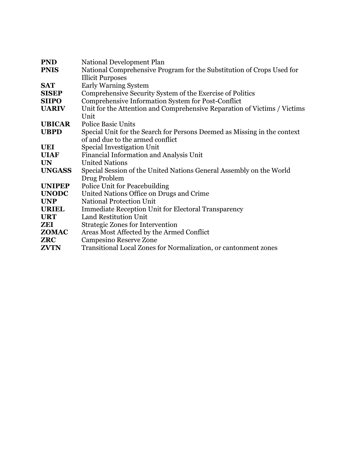| <b>PND</b>    | National Development Plan                                                |
|---------------|--------------------------------------------------------------------------|
| <b>PNIS</b>   | National Comprehensive Program for the Substitution of Crops Used for    |
|               | <b>Illicit Purposes</b>                                                  |
| <b>SAT</b>    | <b>Early Warning System</b>                                              |
| <b>SISEP</b>  | Comprehensive Security System of the Exercise of Politics                |
| <b>SIIPO</b>  | Comprehensive Information System for Post-Conflict                       |
| <b>UARIV</b>  | Unit for the Attention and Comprehensive Reparation of Victims / Victims |
|               | Unit                                                                     |
| <b>UBICAR</b> | <b>Police Basic Units</b>                                                |
| <b>UBPD</b>   | Special Unit for the Search for Persons Deemed as Missing in the context |
|               | of and due to the armed conflict                                         |
| <b>UEI</b>    | Special Investigation Unit                                               |
| <b>UIAF</b>   | Financial Information and Analysis Unit                                  |
| <b>UN</b>     | <b>United Nations</b>                                                    |
| <b>UNGASS</b> | Special Session of the United Nations General Assembly on the World      |
|               | Drug Problem                                                             |
| <b>UNIPEP</b> | Police Unit for Peacebuilding                                            |
| <b>UNODC</b>  | United Nations Office on Drugs and Crime                                 |
| <b>UNP</b>    | <b>National Protection Unit</b>                                          |
| <b>URIEL</b>  | <b>Immediate Reception Unit for Electoral Transparency</b>               |
| <b>URT</b>    | <b>Land Restitution Unit</b>                                             |
| ZEI           | <b>Strategic Zones for Intervention</b>                                  |
| <b>ZOMAC</b>  | Areas Most Affected by the Armed Conflict                                |
| <b>ZRC</b>    | Campesino Reserve Zone                                                   |
| <b>ZVTN</b>   | Transitional Local Zones for Normalization, or cantonment zones          |
|               |                                                                          |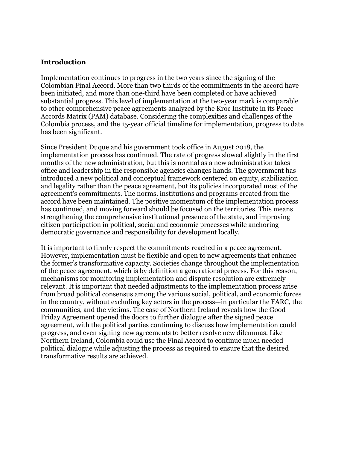#### **Introduction**

Implementation continues to progress in the two years since the signing of the Colombian Final Accord. More than two thirds of the commitments in the accord have been initiated, and more than one-third have been completed or have achieved substantial progress. This level of implementation at the two-year mark is comparable to other comprehensive peace agreements analyzed by the Kroc Institute in its Peace Accords Matrix (PAM) database. Considering the complexities and challenges of the Colombia process, and the 15-year official timeline for implementation, progress to date has been significant.

Since President Duque and his government took office in August 2018, the implementation process has continued. The rate of progress slowed slightly in the first months of the new administration, but this is normal as a new administration takes office and leadership in the responsible agencies changes hands. The government has introduced a new political and conceptual framework centered on equity, stabilization and legality rather than the peace agreement, but its policies incorporated most of the agreement's commitments. The norms, institutions and programs created from the accord have been maintained. The positive momentum of the implementation process has continued, and moving forward should be focused on the territories. This means strengthening the comprehensive institutional presence of the state, and improving citizen participation in political, social and economic processes while anchoring democratic governance and responsibility for development locally.

It is important to firmly respect the commitments reached in a peace agreement. However, implementation must be flexible and open to new agreements that enhance the former's transformative capacity. Societies change throughout the implementation of the peace agreement, which is by definition a generational process. For this reason, mechanisms for monitoring implementation and dispute resolution are extremely relevant. It is important that needed adjustments to the implementation process arise from broad political consensus among the various social, political, and economic forces in the country, without excluding key actors in the process—in particular the FARC, the communities, and the victims. The case of Northern Ireland reveals how the Good Friday Agreement opened the doors to further dialogue after the signed peace agreement, with the political parties continuing to discuss how implementation could progress, and even signing new agreements to better resolve new dilemmas. Like Northern Ireland, Colombia could use the Final Accord to continue much needed political dialogue while adjusting the process as required to ensure that the desired transformative results are achieved.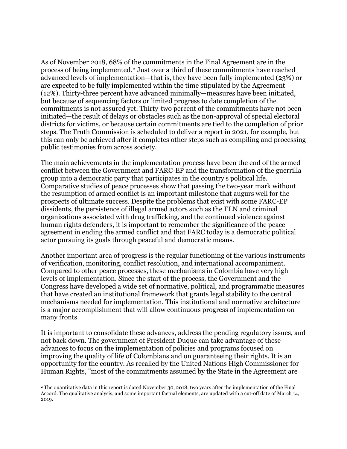As of November 2018, 68% of the commitments in the Final Agreement are in the process of being implemented.[2](#page-4-0) Just over a third of these commitments have reached advanced levels of implementation—that is, they have been fully implemented (23%) or are expected to be fully implemented within the time stipulated by the Agreement (12%). Thirty-three percent have advanced minimally—measures have been initiated, but because of sequencing factors or limited progress to date completion of the commitments is not assured yet. Thirty-two percent of the commitments have not been initiated—the result of delays or obstacles such as the non-approval of special electoral districts for victims, or because certain commitments are tied to the completion of prior steps. The Truth Commission is scheduled to deliver a report in 2021, for example, but this can only be achieved after it completes other steps such as compiling and processing public testimonies from across society.

The main achievements in the implementation process have been the end of the armed conflict between the Government and FARC-EP and the transformation of the guerrilla group into a democratic party that participates in the country's political life. Comparative studies of peace processes show that passing the two-year mark without the resumption of armed conflict is an important milestone that augurs well for the prospects of ultimate success. Despite the problems that exist with some FARC-EP dissidents, the persistence of illegal armed actors such as the ELN and criminal organizations associated with drug trafficking, and the continued violence against human rights defenders, it is important to remember the significance of the peace agreement in ending the armed conflict and that FARC today is a democratic political actor pursuing its goals through peaceful and democratic means.

Another important area of progress is the regular functioning of the various instruments of verification, monitoring, conflict resolution, and international accompaniment. Compared to other peace processes, these mechanisms in Colombia have very high levels of implementation. Since the start of the process, the Government and the Congress have developed a wide set of normative, political, and programmatic measures that have created an institutional framework that grants legal stability to the central mechanisms needed for implementation. This institutional and normative architecture is a major accomplishment that will allow continuous progress of implementation on many fronts.

It is important to consolidate these advances, address the pending regulatory issues, and not back down. The government of President Duque can take advantage of these advances to focus on the implementation of policies and programs focused on improving the quality of life of Colombians and on guaranteeing their rights. It is an opportunity for the country. As recalled by the United Nations High Commissioner for Human Rights, "most of the commitments assumed by the State in the Agreement are

<span id="page-4-0"></span> <sup>2</sup> The quantitative data in this report is dated November 30, 2018, two years after the implementation of the Final Accord. The qualitative analysis, and some important factual elements, are updated with a cut-off date of March 14, 2019.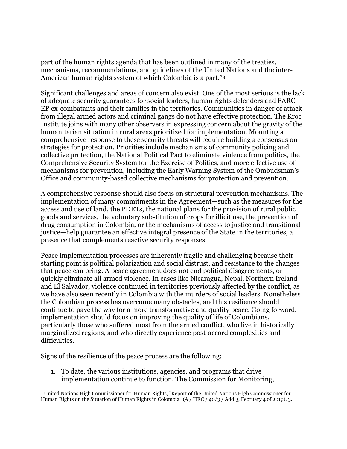part of the human rights agenda that has been outlined in many of the treaties, mechanisms, recommendations, and guidelines of the United Nations and the inter-American human rights system of which Colombia is a part."[3](#page-5-0)

Significant challenges and areas of concern also exist. One of the most serious is the lack of adequate security guarantees for social leaders, human rights defenders and FARC-EP ex-combatants and their families in the territories. Communities in danger of attack from illegal armed actors and criminal gangs do not have effective protection. The Kroc Institute joins with many other observers in expressing concern about the gravity of the humanitarian situation in rural areas prioritized for implementation. Mounting a comprehensive response to these security threats will require building a consensus on strategies for protection. Priorities include mechanisms of community policing and collective protection, the National Political Pact to eliminate violence from politics, the Comprehensive Security System for the Exercise of Politics, and more effective use of mechanisms for prevention, including the Early Warning System of the Ombudsman's Office and community-based collective mechanisms for protection and prevention.

A comprehensive response should also focus on structural prevention mechanisms. The implementation of many commitments in the Agreement—such as the measures for the access and use of land, the PDETs, the national plans for the provision of rural public goods and services, the voluntary substitution of crops for illicit use, the prevention of drug consumption in Colombia, or the mechanisms of access to justice and transitional justice—help guarantee an effective integral presence of the State in the territories, a presence that complements reactive security responses.

Peace implementation processes are inherently fragile and challenging because their starting point is political polarization and social distrust, and resistance to the changes that peace can bring. A peace agreement does not end political disagreements, or quickly eliminate all armed violence. In cases like Nicaragua, Nepal, Northern Ireland and El Salvador, violence continued in territories previously affected by the conflict, as we have also seen recently in Colombia with the murders of social leaders. Nonetheless the Colombian process has overcome many obstacles, and this resilience should continue to pave the way for a more transformative and quality peace. Going forward, implementation should focus on improving the quality of life of Colombians, particularly those who suffered most from the armed conflict, who live in historically marginalized regions, and who directly experience post-accord complexities and difficulties.

Signs of the resilience of the peace process are the following:

1. To date, the various institutions, agencies, and programs that drive implementation continue to function. The Commission for Monitoring,

<span id="page-5-0"></span> <sup>3</sup> United Nations High Commissioner for Human Rights, "Report of the United Nations High Commissioner for Human Rights on the Situation of Human Rights in Colombia" (A / HRC /  $40/3$  / Add.3, February 4 of 2019), 3.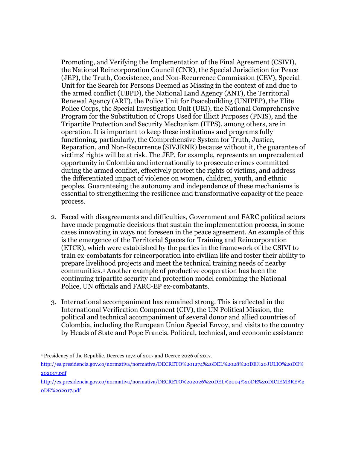Promoting, and Verifying the Implementation of the Final Agreement (CSIVI), the National Reincorporation Council (CNR), the Special Jurisdiction for Peace (JEP), the Truth, Coexistence, and Non-Recurrence Commission (CEV), Special Unit for the Search for Persons Deemed as Missing in the context of and due to the armed conflict (UBPD), the National Land Agency (ANT), the Territorial Renewal Agency (ART), the Police Unit for Peacebuilding (UNIPEP), the Elite Police Corps, the Special Investigation Unit (UEI), the National Comprehensive Program for the Substitution of Crops Used for Illicit Purposes (PNIS), and the Tripartite Protection and Security Mechanism (ITPS), among others, are in operation. It is important to keep these institutions and programs fully functioning, particularly, the Comprehensive System for Truth, Justice, Reparation, and Non-Recurrence (SIVJRNR) because without it, the guarantee of victims' rights will be at risk. The JEP, for example, represents an unprecedented opportunity in Colombia and internationally to prosecute crimes committed during the armed conflict, effectively protect the rights of victims, and address the differentiated impact of violence on women, children, youth, and ethnic peoples. Guaranteeing the autonomy and independence of these mechanisms is essential to strengthening the resilience and transformative capacity of the peace process.

- 2. Faced with disagreements and difficulties, Government and FARC political actors have made pragmatic decisions that sustain the implementation process, in some cases innovating in ways not foreseen in the peace agreement. An example of this is the emergence of the Territorial Spaces for Training and Reincorporation (ETCR), which were established by the parties in the framework of the CSIVI to train ex-combatants for reincorporation into civilian life and foster their ability to prepare livelihood projects and meet the technical training needs of nearby communities.[4](#page-6-0) Another example of productive cooperation has been the continuing tripartite security and protection model combining the National Police, UN officials and FARC-EP ex-combatants.
- 3. International accompaniment has remained strong. This is reflected in the International Verification Component (CIV), the UN Political Mission, the political and technical accompaniment of several donor and allied countries of Colombia, including the European Union Special Envoy, and visits to the country by Heads of State and Pope Francis. Political, technical, and economic assistance

<span id="page-6-0"></span> <sup>4</sup> Presidency of the Republic. Decrees 1274 of 2017 and Decree 2026 of 2017.

[http://es.presidencia.gov.co/normativa/normativa/DECRETO%201274%20DEL%2028%20DE%20JULIO%20DE%](http://es.presidencia.gov.co/normativa/normativa/DECRETO%201274%20DEL%2028%20DE%20JULIO%20DE%202017.pdf) [202017.pdf](http://es.presidencia.gov.co/normativa/normativa/DECRETO%201274%20DEL%2028%20DE%20JULIO%20DE%202017.pdf)

[http://es.presidencia.gov.co/normativa/normativa/DECRETO%202026%20DEL%2004%20DE%20DICIEMBRE%2](http://es.presidencia.gov.co/normativa/normativa/DECRETO%202026%20DEL%2004%20DE%20DICIEMBRE%20DE%202017.pdf) [0DE%202017.pdf](http://es.presidencia.gov.co/normativa/normativa/DECRETO%202026%20DEL%2004%20DE%20DICIEMBRE%20DE%202017.pdf)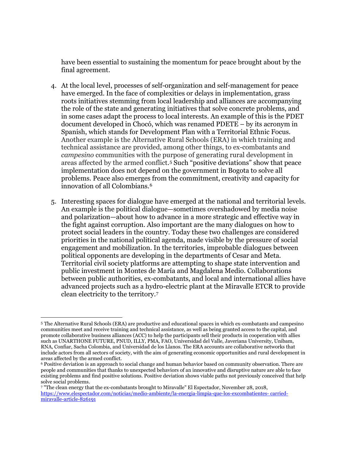have been essential to sustaining the momentum for peace brought about by the final agreement.

- 4. At the local level, processes of self-organization and self-management for peace have emerged. In the face of complexities or delays in implementation, grass roots initiatives stemming from local leadership and alliances are accompanying the role of the state and generating initiatives that solve concrete problems, and in some cases adapt the process to local interests. An example of this is the PDET document developed in Chocó, which was renamed PDETE – by its acronym in Spanish, which stands for Development Plan with a Territorial Ethnic Focus. Another example is the Alternative Rural Schools (ERA) in which training and technical assistance are provided, among other things, to ex-combatants and *campesino* communities with the purpose of generating rural development in areas affected by the armed conflict.[5](#page-7-0) Such "positive deviations" show that peace implementation does not depend on the government in Bogota to solve all problems. Peace also emerges from the commitment, creativity and capacity for innovation of all Colombians.[6](#page-7-1)
- 5. Interesting spaces for dialogue have emerged at the national and territorial levels. An example is the political dialogue—sometimes overshadowed by media noise and polarization—about how to advance in a more strategic and effective way in the fight against corruption. Also important are the many dialogues on how to protect social leaders in the country. Today these two challenges are considered priorities in the national political agenda, made visible by the pressure of social engagement and mobilization. In the territories, improbable dialogues between political opponents are developing in the departments of Cesar and Meta. Territorial civil society platforms are attempting to shape state intervention and public investment in Montes de María and Magdalena Medio. Collaborations between public authorities, ex-combatants, and local and international allies have advanced projects such as a hydro-electric plant at the Miravalle ETCR to provide clean electricity to the territory.[7](#page-7-2)

<span id="page-7-0"></span> <sup>5</sup> The Alternative Rural Schools (ERA) are productive and educational spaces in which ex-combatants and campesino communities meet and receive training and technical assistance, as well as being granted access to the capital, and promote collaborative business alliances (ACC) to help the participants sell their products in cooperation with allies such as UNARTHONE FUTURE, PNUD, ILLY, PMA, FAO, Universidad del Valle, Javeriana University, Unibam, RNA, Confiar, Sacha Colombia, and Universidad de los Llanos. The ERA accounts are collaborative networks that include actors from all sectors of society, with the aim of generating economic opportunities and rural development in areas affected by the armed conflict.

<span id="page-7-1"></span><sup>6</sup> Positive deviation is an approach to social change and human behavior based on community observation. There are people and communities that thanks to unexpected behaviors of an innovative and disruptive nature are able to face existing problems and find positive solutions. Positive deviation shows viable paths not previously conceived that help solve social problems.

<span id="page-7-2"></span><sup>7</sup> "The clean energy that the ex-combatants brought to Miravalle" El Espectador, November 28, 2018, [https://www.elespectador.com/noticias/medio-ambiente/la-energia-limpia-que-los-excombatientes-](https://www.elespectador.com/noticias/medio-ambiente/la-energia-limpia-que-los-excombatientes-%20carried-%20miravalle-article-826191) carried[miravalle-article-826191](https://www.elespectador.com/noticias/medio-ambiente/la-energia-limpia-que-los-excombatientes-%20carried-%20miravalle-article-826191)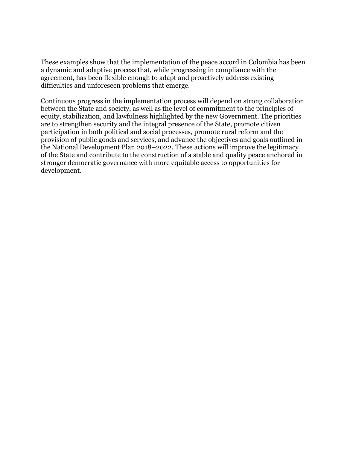These examples show that the implementation of the peace accord in Colombia has been a dynamic and adaptive process that, while progressing in compliance with the agreement, has been flexible enough to adapt and proactively address existing difficulties and unforeseen problems that emerge.

Continuous progress in the implementation process will depend on strong collaboration between the State and society, as well as the level of commitment to the principles of equity, stabilization, and lawfulness highlighted by the new Government. The priorities are to strengthen security and the integral presence of the State, promote citizen participation in both political and social processes, promote rural reform and the provision of public goods and services, and advance the objectives and goals outlined in the National Development Plan 2018–2022. These actions will improve the legitimacy of the State and contribute to the construction of a stable and quality peace anchored in stronger democratic governance with more equitable access to opportunities for development.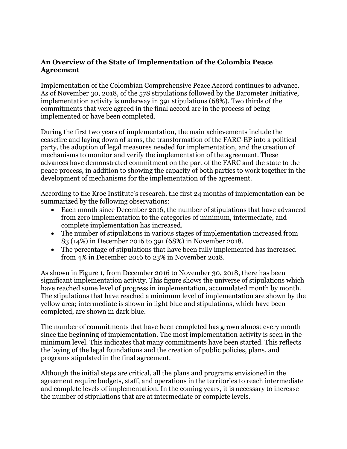## **An Overview of the State of Implementation of the Colombia Peace Agreement**

Implementation of the Colombian Comprehensive Peace Accord continues to advance. As of November 30, 2018, of the 578 stipulations followed by the Barometer Initiative, implementation activity is underway in 391 stipulations (68%). Two thirds of the commitments that were agreed in the final accord are in the process of being implemented or have been completed.

During the first two years of implementation, the main achievements include the ceasefire and laying down of arms, the transformation of the FARC-EP into a political party, the adoption of legal measures needed for implementation, and the creation of mechanisms to monitor and verify the implementation of the agreement. These advances have demonstrated commitment on the part of the FARC and the state to the peace process, in addition to showing the capacity of both parties to work together in the development of mechanisms for the implementation of the agreement.

According to the Kroc Institute's research, the first 24 months of implementation can be summarized by the following observations:

- Each month since December 2016, the number of stipulations that have advanced from zero implementation to the categories of minimum, intermediate, and complete implementation has increased.
- The number of stipulations in various stages of implementation increased from 83 (14%) in December 2016 to 391 (68%) in November 2018.
- The percentage of stipulations that have been fully implemented has increased from 4% in December 2016 to 23% in November 2018.

As shown in Figure 1, from December 2016 to November 30, 2018, there has been significant implementation activity. This figure shows the universe of stipulations which have reached some level of progress in implementation, accumulated month by month. The stipulations that have reached a minimum level of implementation are shown by the yellow area; intermediate is shown in light blue and stipulations, which have been completed, are shown in dark blue.

The number of commitments that have been completed has grown almost every month since the beginning of implementation. The most implementation activity is seen in the minimum level. This indicates that many commitments have been started. This reflects the laying of the legal foundations and the creation of public policies, plans, and programs stipulated in the final agreement.

Although the initial steps are critical, all the plans and programs envisioned in the agreement require budgets, staff, and operations in the territories to reach intermediate and complete levels of implementation. In the coming years, it is necessary to increase the number of stipulations that are at intermediate or complete levels.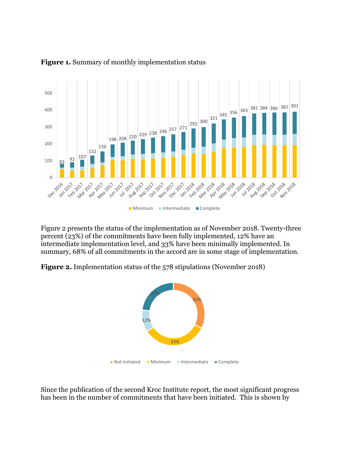

### **Figure 1.** Summary of monthly implementation status

Figure 2 presents the status of the implementation as of November 2018. Twenty-three percent (23%) of the commitments have been fully implemented, 12% have an intermediate implementation level, and 33% have been minimally implemented. In summary, 68% of all commitments in the accord are in some stage of implementation.

**Figure 2.** Implementation status of the 578 stipulations (November 2018)



Since the publication of the second Kroc Institute report, the most significant progress has been in the number of commitments that have been initiated. This is shown by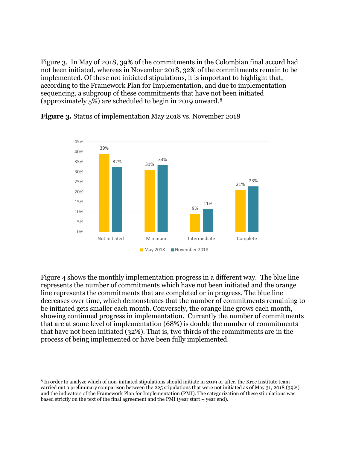Figure 3. In May of 2018, 39% of the commitments in the Colombian final accord had not been initiated, whereas in November 2018, 32% of the commitments remain to be implemented. Of these not initiated stipulations, it is important to highlight that, according to the Framework Plan for Implementation, and due to implementation sequencing, a subgroup of these commitments that have not been initiated (approximately 5%) are scheduled to begin in 2019 onward.[8](#page-11-0)



**Figure 3.** Status of implementation May 2018 vs. November 2018

Figure 4 shows the monthly implementation progress in a different way. The blue line represents the number of commitments which have not been initiated and the orange line represents the commitments that are completed or in progress. The blue line decreases over time, which demonstrates that the number of commitments remaining to be initiated gets smaller each month. Conversely, the orange line grows each month, showing continued progress in implementation. Currently the number of commitments that are at some level of implementation (68%) is double the number of commitments that have not been initiated (32%). That is, two thirds of the commitments are in the process of being implemented or have been fully implemented.

<span id="page-11-0"></span> <sup>8</sup> In order to analyze which of non-initiated stipulations should initiate in 2019 or after, the Kroc Institute team carried out a preliminary comparison between the 225 stipulations that were not initiated as of May 31, 2018 (39%) and the indicators of the Framework Plan for Implementation (PMI). The categorization of these stipulations was based strictly on the text of the final agreement and the PMI (year start – year end).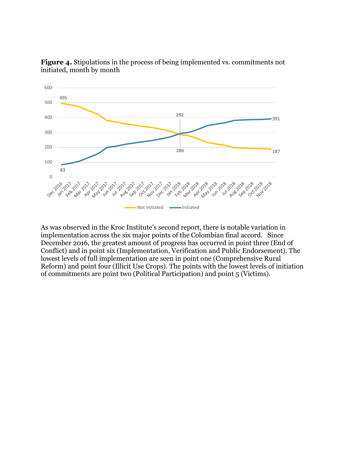

**Figure 4.** Stipulations in the process of being implemented vs. commitments not initiated, month by month

As was observed in the Kroc Institute's second report, there is notable variation in implementation across the six major points of the Colombian final accord. Since December 2016, the greatest amount of progress has occurred in point three (End of Conflict) and in point six (Implementation, Verification and Public Endorsement). The lowest levels of full implementation are seen in point one (Comprehensive Rural Reform) and point four (Illicit Use Crops). The points with the lowest levels of initiation of commitments are point two (Political Participation) and point 5 (Victims).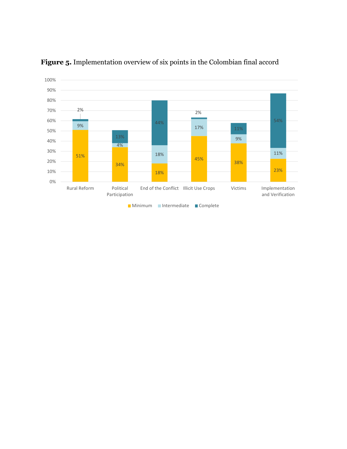

**Figure 5.** Implementation overview of six points in the Colombian final accord

**Minimum** Intermediate Complete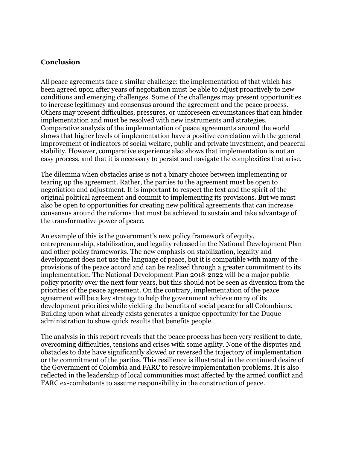#### **Conclusion**

All peace agreements face a similar challenge: the implementation of that which has been agreed upon after years of negotiation must be able to adjust proactively to new conditions and emerging challenges. Some of the challenges may present opportunities to increase legitimacy and consensus around the agreement and the peace process. Others may present difficulties, pressures, or unforeseen circumstances that can hinder implementation and must be resolved with new instruments and strategies. Comparative analysis of the implementation of peace agreements around the world shows that higher levels of implementation have a positive correlation with the general improvement of indicators of social welfare, public and private investment, and peaceful stability. However, comparative experience also shows that implementation is not an easy process, and that it is necessary to persist and navigate the complexities that arise.

The dilemma when obstacles arise is not a binary choice between implementing or tearing up the agreement. Rather, the parties to the agreement must be open to negotiation and adjustment. It is important to respect the text and the spirit of the original political agreement and commit to implementing its provisions. But we must also be open to opportunities for creating new political agreements that can increase consensus around the reforms that must be achieved to sustain and take advantage of the transformative power of peace.

An example of this is the government's new policy framework of equity, entrepreneurship, stabilization, and legality released in the National Development Plan and other policy frameworks. The new emphasis on stabilization, legality and development does not use the language of peace, but it is compatible with many of the provisions of the peace accord and can be realized through a greater commitment to its implementation. The National Development Plan 2018-2022 will be a major public policy priority over the next four years, but this should not be seen as diversion from the priorities of the peace agreement. On the contrary, implementation of the peace agreement will be a key strategy to help the government achieve many of its development priorities while yielding the benefits of social peace for all Colombians. Building upon what already exists generates a unique opportunity for the Duque administration to show quick results that benefits people.

The analysis in this report reveals that the peace process has been very resilient to date, overcoming difficulties, tensions and crises with some agility. None of the disputes and obstacles to date have significantly slowed or reversed the trajectory of implementation or the commitment of the parties. This resilience is illustrated in the continued desire of the Government of Colombia and FARC to resolve implementation problems. It is also reflected in the leadership of local communities most affected by the armed conflict and FARC ex-combatants to assume responsibility in the construction of peace.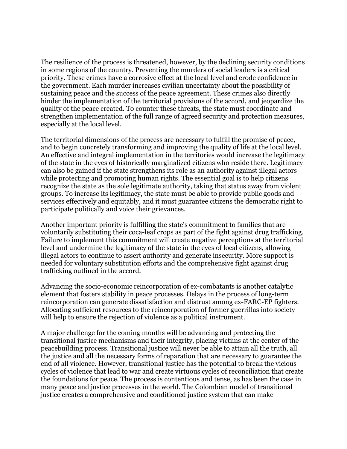The resilience of the process is threatened, however, by the declining security conditions in some regions of the country. Preventing the murders of social leaders is a critical priority. These crimes have a corrosive effect at the local level and erode confidence in the government. Each murder increases civilian uncertainty about the possibility of sustaining peace and the success of the peace agreement. These crimes also directly hinder the implementation of the territorial provisions of the accord, and jeopardize the quality of the peace created. To counter these threats, the state must coordinate and strengthen implementation of the full range of agreed security and protection measures, especially at the local level.

The territorial dimensions of the process are necessary to fulfill the promise of peace, and to begin concretely transforming and improving the quality of life at the local level. An effective and integral implementation in the territories would increase the legitimacy of the state in the eyes of historically marginalized citizens who reside there. Legitimacy can also be gained if the state strengthens its role as an authority against illegal actors while protecting and promoting human rights. The essential goal is to help citizens recognize the state as the sole legitimate authority, taking that status away from violent groups. To increase its legitimacy, the state must be able to provide public goods and services effectively and equitably, and it must guarantee citizens the democratic right to participate politically and voice their grievances.

Another important priority is fulfilling the state's commitment to families that are voluntarily substituting their coca-leaf crops as part of the fight against drug trafficking. Failure to implement this commitment will create negative perceptions at the territorial level and undermine the legitimacy of the state in the eyes of local citizens, allowing illegal actors to continue to assert authority and generate insecurity. More support is needed for voluntary substitution efforts and the comprehensive fight against drug trafficking outlined in the accord.

Advancing the socio-economic reincorporation of ex-combatants is another catalytic element that fosters stability in peace processes. Delays in the process of long-term reincorporation can generate dissatisfaction and distrust among ex-FARC-EP fighters. Allocating sufficient resources to the reincorporation of former guerrillas into society will help to ensure the rejection of violence as a political instrument.

A major challenge for the coming months will be advancing and protecting the transitional justice mechanisms and their integrity, placing victims at the center of the peacebuilding process. Transitional justice will never be able to attain all the truth, all the justice and all the necessary forms of reparation that are necessary to guarantee the end of all violence. However, transitional justice has the potential to break the vicious cycles of violence that lead to war and create virtuous cycles of reconciliation that create the foundations for peace. The process is contentious and tense, as has been the case in many peace and justice processes in the world. The Colombian model of transitional justice creates a comprehensive and conditioned justice system that can make